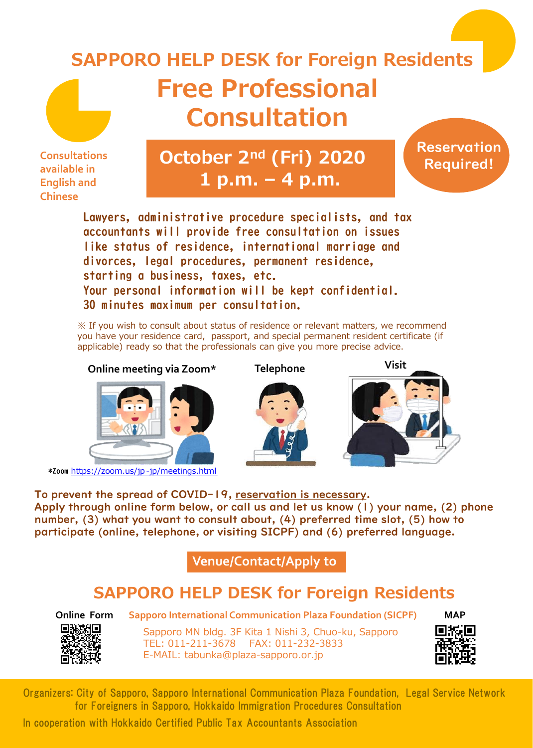## **Free Professional Consultation SAPPORO HELP DESK for Foreign Residents**

**Consultations available in English and Chinese**

## **October 2nd (Fri) 2020 1 p.m. – 4 p.m.**

**Reservation** Required!

Lawyers, administrative procedure specialists, and tax accountants will provide free consultation on issues like status of residence, international marriage and divorces, legal procedures, permanent residence, starting a business, taxes, etc. Your personal information will be kept confidential. 30 minutes maximum per consultation.

※ If you wish to consult about status of residence or relevant matters, we recommend you have your residence card, passport, and special permanent resident certificate (if applicable) ready so that the professionals can give you more precise advice.

**Online meeting via Zoom\* Telephone Visit**



\*Zoom https://zoom.us/jp-jp/meetings.html





To prevent the spread of COVID-19, reservation is necessary. Apply through online form below, or call us and let us know (1) your name, (2) phone number, (3) what you want to consult about, (4) preferred time slot, (5) how to participate (online, telephone, or visiting SICPF) and (6) preferred language.

**Venue/Contact/Apply to**

## **SAPPORO HELP DESK for Foreign Residents**



Sapporo MN bldg. 3F Kita 1 Nishi 3, Chuo-ku, Sapporo TEL: 011-211-3678 FAX: 011-232-3833 E-MAIL: tabunka@plaza-sapporo.or.jp **Online Form Sapporo International Communication Plaza Foundation (SICPF)**



Organizers: City of Sapporo, Sapporo International Communication Plaza Foundation, Legal Service Network for Foreigners in Sapporo, Hokkaido Immigration Procedures Consultation

In cooperation with Hokkaido Certified Public Tax Accountants Association